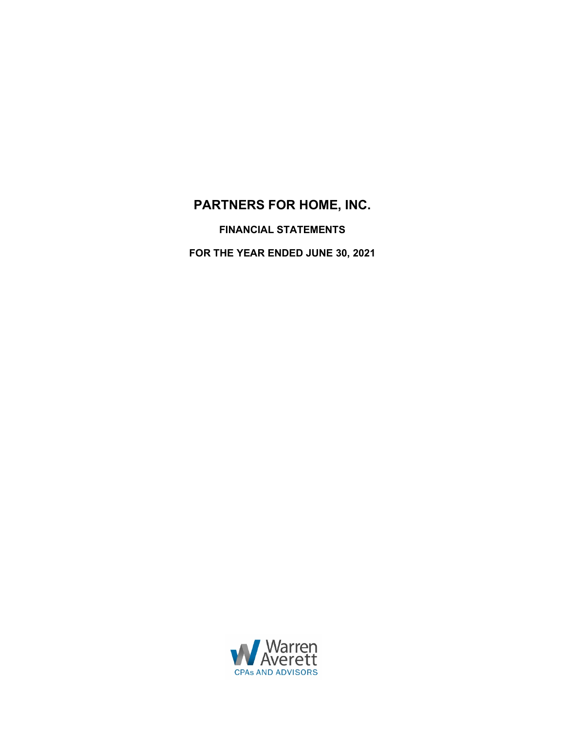# **PARTNERS FOR HOME, INC.**

**FINANCIAL STATEMENTS**

**FOR THE YEAR ENDED JUNE 30, 2021**

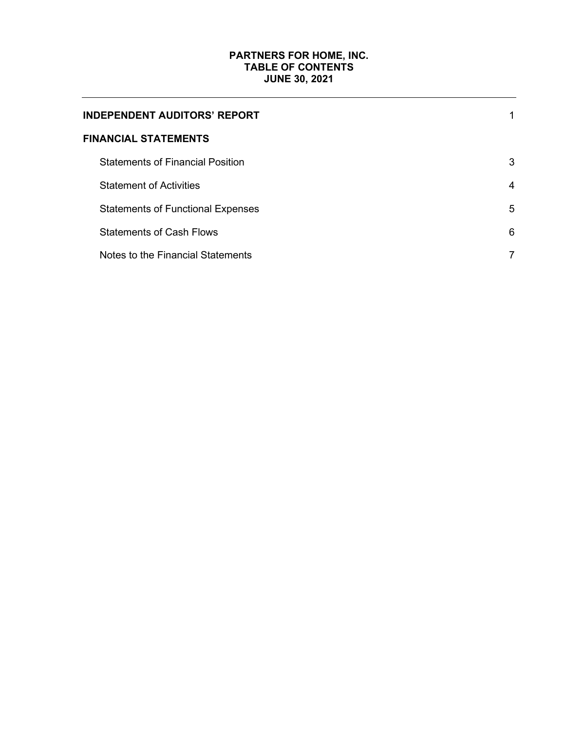# **PARTNERS FOR HOME, INC. TABLE OF CONTENTS JUNE 30, 2021**

| <b>INDEPENDENT AUDITORS' REPORT</b>      |                |
|------------------------------------------|----------------|
| <b>FINANCIAL STATEMENTS</b>              |                |
| <b>Statements of Financial Position</b>  | 3              |
| <b>Statement of Activities</b>           | $\overline{4}$ |
| <b>Statements of Functional Expenses</b> | 5              |
| <b>Statements of Cash Flows</b>          | 6              |
| Notes to the Financial Statements        | 7              |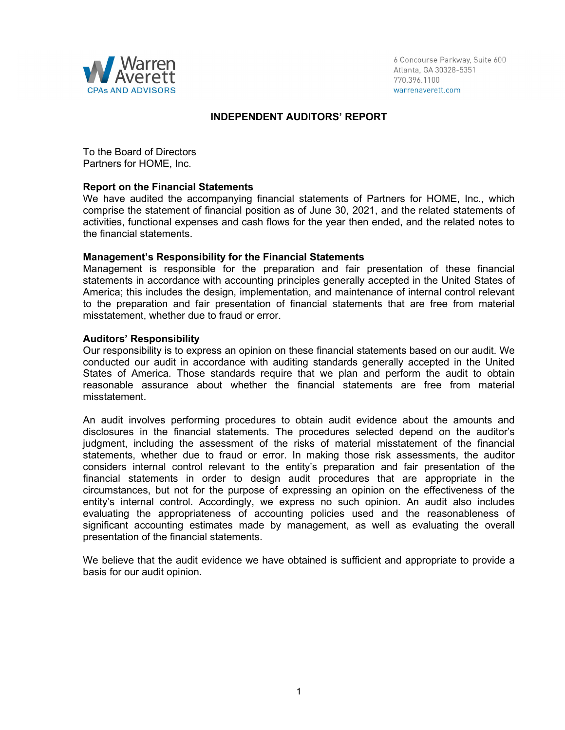

6 Concourse Parkway, Suite 600 Atlanta, GA 30328-5351 770.396.1100 warrenaverett.com

# **INDEPENDENT AUDITORS' REPORT**

To the Board of Directors Partners for HOME, Inc.

#### **Report on the Financial Statements**

We have audited the accompanying financial statements of Partners for HOME, Inc., which comprise the statement of financial position as of June 30, 2021, and the related statements of activities, functional expenses and cash flows for the year then ended, and the related notes to the financial statements.

#### **Management's Responsibility for the Financial Statements**

Management is responsible for the preparation and fair presentation of these financial statements in accordance with accounting principles generally accepted in the United States of America; this includes the design, implementation, and maintenance of internal control relevant to the preparation and fair presentation of financial statements that are free from material misstatement, whether due to fraud or error.

#### **Auditors' Responsibility**

Our responsibility is to express an opinion on these financial statements based on our audit. We conducted our audit in accordance with auditing standards generally accepted in the United States of America. Those standards require that we plan and perform the audit to obtain reasonable assurance about whether the financial statements are free from material misstatement.

An audit involves performing procedures to obtain audit evidence about the amounts and disclosures in the financial statements. The procedures selected depend on the auditor's judgment, including the assessment of the risks of material misstatement of the financial statements, whether due to fraud or error. In making those risk assessments, the auditor considers internal control relevant to the entity's preparation and fair presentation of the financial statements in order to design audit procedures that are appropriate in the circumstances, but not for the purpose of expressing an opinion on the effectiveness of the entity's internal control. Accordingly, we express no such opinion. An audit also includes evaluating the appropriateness of accounting policies used and the reasonableness of significant accounting estimates made by management, as well as evaluating the overall presentation of the financial statements.

We believe that the audit evidence we have obtained is sufficient and appropriate to provide a basis for our audit opinion.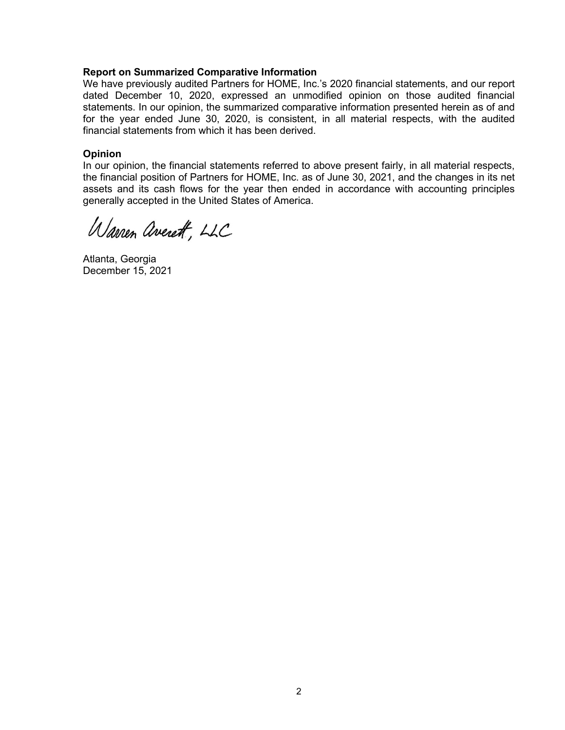## **Report on Summarized Comparative Information**

We have previously audited Partners for HOME, Inc.'s 2020 financial statements, and our report dated December 10, 2020, expressed an unmodified opinion on those audited financial statements. In our opinion, the summarized comparative information presented herein as of and for the year ended June 30, 2020, is consistent, in all material respects, with the audited financial statements from which it has been derived.

## **Opinion**

In our opinion, the financial statements referred to above present fairly, in all material respects, the financial position of Partners for HOME, Inc. as of June 30, 2021, and the changes in its net assets and its cash flows for the year then ended in accordance with accounting principles generally accepted in the United States of America.

Warren averett, LLC

Atlanta, Georgia December 15, 2021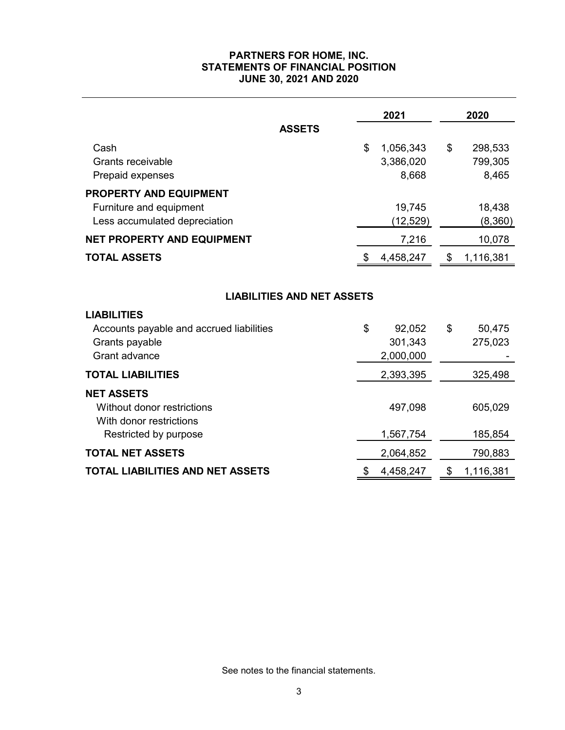# **PARTNERS FOR HOME, INC. STATEMENTS OF FINANCIAL POSITION JUNE 30, 2021 AND 2020**

|                                                                                                                                               | 2021                                  | 2020                              |
|-----------------------------------------------------------------------------------------------------------------------------------------------|---------------------------------------|-----------------------------------|
| <b>ASSETS</b>                                                                                                                                 |                                       |                                   |
| Cash<br><b>Grants receivable</b><br>Prepaid expenses                                                                                          | \$<br>1,056,343<br>3,386,020<br>8,668 | \$<br>298,533<br>799,305<br>8,465 |
| <b>PROPERTY AND EQUIPMENT</b>                                                                                                                 |                                       |                                   |
| Furniture and equipment<br>Less accumulated depreciation                                                                                      | 19,745<br>(12, 529)                   | 18,438<br>(8,360)                 |
| <b>NET PROPERTY AND EQUIPMENT</b>                                                                                                             | 7,216                                 | 10,078                            |
| <b>TOTAL ASSETS</b>                                                                                                                           | \$<br>4,458,247                       | \$<br>1,116,381                   |
| <b>LIABILITIES AND NET ASSETS</b><br><b>LIABILITIES</b><br>Accounts payable and accrued liabilities<br>Grants payable<br><b>Grant advance</b> | \$<br>92,052<br>301,343<br>2,000,000  | \$<br>50,475<br>275,023           |
| <b>TOTAL LIABILITIES</b>                                                                                                                      | 2,393,395                             | 325,498                           |
| <b>NET ASSETS</b><br>Without donor restrictions<br>With donor restrictions<br>Restricted by purpose                                           | 497,098<br>1,567,754                  | 605,029<br>185,854                |
| <b>TOTAL NET ASSETS</b>                                                                                                                       | 2,064,852                             | 790,883                           |
| <b>TOTAL LIABILITIES AND NET ASSETS</b>                                                                                                       | \$<br>4,458,247                       | \$<br>1,116,381                   |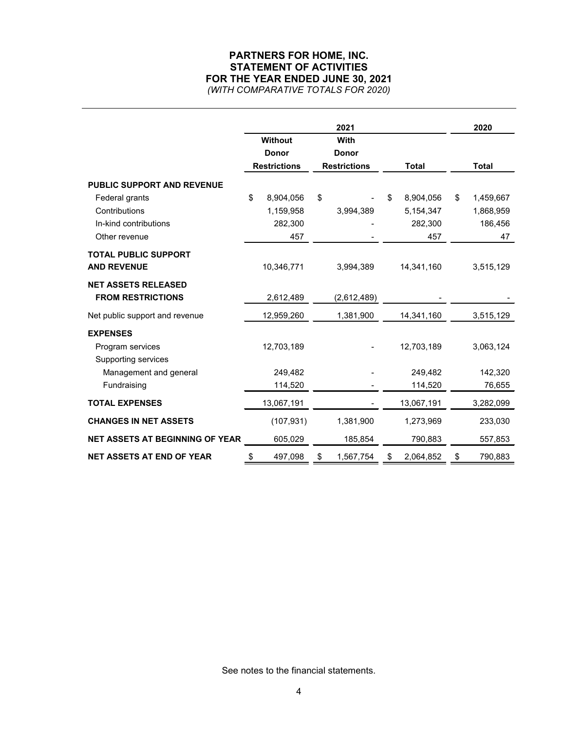# **PARTNERS FOR HOME, INC. STATEMENT OF ACTIVITIES FOR THE YEAR ENDED JUNE 30, 2021** *(WITH COMPARATIVE TOTALS FOR 2020)*

|                                                                           |                                                       | 2021                                        |                                                 | 2020                                          |
|---------------------------------------------------------------------------|-------------------------------------------------------|---------------------------------------------|-------------------------------------------------|-----------------------------------------------|
|                                                                           | <b>Without</b><br><b>Donor</b><br><b>Restrictions</b> | With<br><b>Donor</b><br><b>Restrictions</b> | <b>Total</b>                                    | <b>Total</b>                                  |
| PUBLIC SUPPORT AND REVENUE                                                |                                                       |                                             |                                                 |                                               |
| Federal grants<br>Contributions<br>In-kind contributions<br>Other revenue | \$<br>8,904,056<br>1,159,958<br>282,300<br>457        | \$<br>3,994,389                             | 8,904,056<br>\$.<br>5,154,347<br>282,300<br>457 | \$<br>1,459,667<br>1,868,959<br>186,456<br>47 |
| <b>TOTAL PUBLIC SUPPORT</b><br><b>AND REVENUE</b>                         | 10,346,771                                            | 3,994,389                                   | 14,341,160                                      | 3,515,129                                     |
| <b>NET ASSETS RELEASED</b><br><b>FROM RESTRICTIONS</b>                    | 2,612,489                                             | (2,612,489)                                 |                                                 |                                               |
| Net public support and revenue                                            | 12,959,260                                            | 1,381,900                                   | 14,341,160                                      | 3,515,129                                     |
| <b>EXPENSES</b><br>Program services<br>Supporting services                | 12,703,189                                            |                                             | 12,703,189                                      | 3,063,124                                     |
| Management and general                                                    | 249,482                                               |                                             | 249,482                                         | 142,320                                       |
| Fundraising<br><b>TOTAL EXPENSES</b>                                      | 114,520<br>13,067,191                                 |                                             | 114,520<br>13,067,191                           | 76,655<br>3,282,099                           |
| <b>CHANGES IN NET ASSETS</b>                                              | (107, 931)                                            | 1,381,900                                   | 1,273,969                                       | 233,030                                       |
| NET ASSETS AT BEGINNING OF YEAR                                           | 605,029                                               | 185,854                                     | 790,883                                         | 557,853                                       |
| <b>NET ASSETS AT END OF YEAR</b>                                          | \$<br>497,098                                         | \$<br>1,567,754                             | 2,064,852<br>\$                                 | 790,883<br>\$                                 |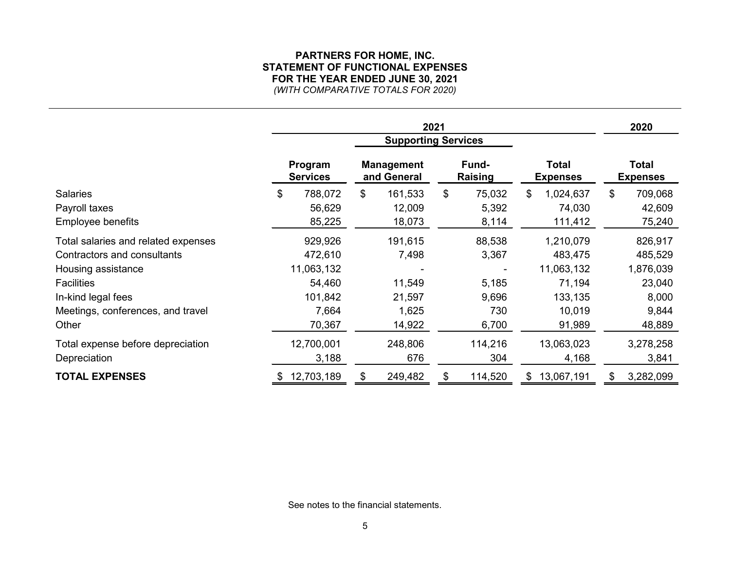# **PARTNERS FOR HOME, INC. STATEMENT OF FUNCTIONAL EXPENSES FOR THE YEAR ENDED JUNE 30, 2021** *(WITH COMPARATIVE TOTALS FOR 2020)*

| 2021                                |    |                            |                                  |         |                         |         |                                 | 2020       |                |                                 |
|-------------------------------------|----|----------------------------|----------------------------------|---------|-------------------------|---------|---------------------------------|------------|----------------|---------------------------------|
|                                     |    | <b>Supporting Services</b> |                                  |         |                         |         |                                 |            |                |                                 |
|                                     |    | Program<br><b>Services</b> | <b>Management</b><br>and General |         | Fund-<br><b>Raising</b> |         | <b>Total</b><br><b>Expenses</b> |            |                | <b>Total</b><br><b>Expenses</b> |
| <b>Salaries</b>                     | \$ | 788,072                    | \$                               | 161,533 | \$                      | 75,032  | \$                              | 1,024,637  | $\mathfrak{S}$ | 709,068                         |
| Payroll taxes                       |    | 56,629                     |                                  | 12,009  |                         | 5,392   |                                 | 74,030     |                | 42,609                          |
| Employee benefits                   |    | 85,225                     |                                  | 18,073  |                         | 8,114   |                                 | 111,412    |                | 75,240                          |
| Total salaries and related expenses |    | 929,926                    |                                  | 191,615 |                         | 88,538  |                                 | 1,210,079  |                | 826,917                         |
| Contractors and consultants         |    | 472,610                    |                                  | 7,498   |                         | 3,367   |                                 | 483,475    |                | 485,529                         |
| Housing assistance                  |    | 11,063,132                 |                                  |         |                         |         |                                 | 11,063,132 |                | 1,876,039                       |
| <b>Facilities</b>                   |    | 54,460                     |                                  | 11,549  |                         | 5,185   |                                 | 71,194     |                | 23,040                          |
| In-kind legal fees                  |    | 101,842                    |                                  | 21,597  |                         | 9,696   |                                 | 133,135    |                | 8,000                           |
| Meetings, conferences, and travel   |    | 7,664                      |                                  | 1,625   |                         | 730     |                                 | 10,019     |                | 9,844                           |
| Other                               |    | 70,367                     |                                  | 14,922  |                         | 6,700   |                                 | 91,989     |                | 48,889                          |
| Total expense before depreciation   |    | 12,700,001                 |                                  | 248,806 |                         | 114,216 |                                 | 13,063,023 |                | 3,278,258                       |
| Depreciation                        |    | 3,188                      |                                  | 676     |                         | 304     |                                 | 4,168      |                | 3,841                           |
| <b>TOTAL EXPENSES</b>               | S. | 12,703,189                 | \$                               | 249,482 |                         | 114,520 | \$.                             | 13,067,191 | S.             | 3,282,099                       |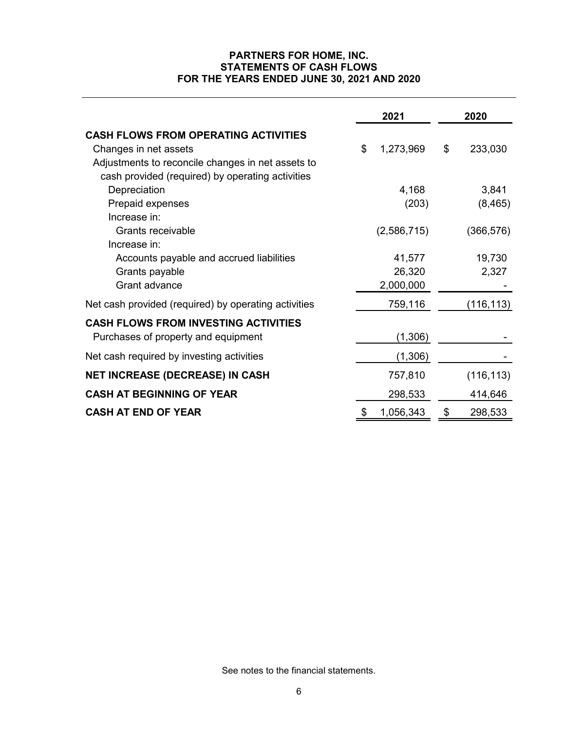# **PARTNERS FOR HOME, INC. STATEMENTS OF CASH FLOWS FOR THE YEARS ENDED JUNE 30, 2021 AND 2020**

|                                                      | 2021            | 2020 |            |  |
|------------------------------------------------------|-----------------|------|------------|--|
| <b>CASH FLOWS FROM OPERATING ACTIVITIES</b>          |                 |      |            |  |
| Changes in net assets                                | \$<br>1,273,969 | \$   | 233,030    |  |
| Adjustments to reconcile changes in net assets to    |                 |      |            |  |
| cash provided (required) by operating activities     |                 |      |            |  |
| Depreciation                                         | 4,168           |      | 3,841      |  |
| Prepaid expenses                                     | (203)           |      | (8, 465)   |  |
| Increase in:                                         |                 |      |            |  |
| Grants receivable                                    | (2,586,715)     |      | (366, 576) |  |
| Increase in:                                         |                 |      |            |  |
| Accounts payable and accrued liabilities             | 41,577          |      | 19,730     |  |
| Grants payable                                       | 26,320          |      | 2,327      |  |
| Grant advance                                        | 2,000,000       |      |            |  |
| Net cash provided (required) by operating activities | 759,116         |      | (116, 113) |  |
| <b>CASH FLOWS FROM INVESTING ACTIVITIES</b>          |                 |      |            |  |
| Purchases of property and equipment                  | (1,306)         |      |            |  |
| Net cash required by investing activities            | (1,306)         |      |            |  |
| NET INCREASE (DECREASE) IN CASH                      | 757,810         |      | (116, 113) |  |
| <b>CASH AT BEGINNING OF YEAR</b>                     | 298,533         |      | 414,646    |  |
| <b>CASH AT END OF YEAR</b>                           | \$<br>1,056,343 | \$   | 298,533    |  |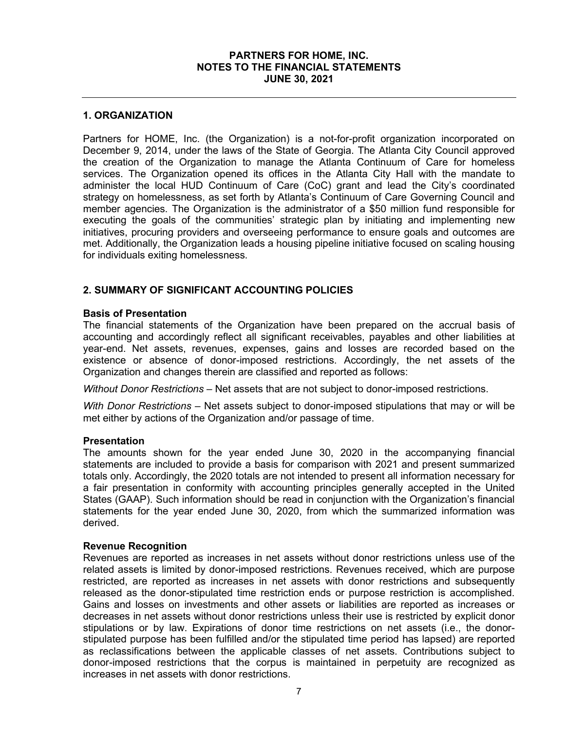#### **1. ORGANIZATION**

Partners for HOME, Inc. (the Organization) is a not-for-profit organization incorporated on December 9, 2014, under the laws of the State of Georgia. The Atlanta City Council approved the creation of the Organization to manage the Atlanta Continuum of Care for homeless services. The Organization opened its offices in the Atlanta City Hall with the mandate to administer the local HUD Continuum of Care (CoC) grant and lead the City's coordinated strategy on homelessness, as set forth by Atlanta's Continuum of Care Governing Council and member agencies. The Organization is the administrator of a \$50 million fund responsible for executing the goals of the communities' strategic plan by initiating and implementing new initiatives, procuring providers and overseeing performance to ensure goals and outcomes are met. Additionally, the Organization leads a housing pipeline initiative focused on scaling housing for individuals exiting homelessness.

# **2. SUMMARY OF SIGNIFICANT ACCOUNTING POLICIES**

#### **Basis of Presentation**

The financial statements of the Organization have been prepared on the accrual basis of accounting and accordingly reflect all significant receivables, payables and other liabilities at year-end. Net assets, revenues, expenses, gains and losses are recorded based on the existence or absence of donor-imposed restrictions. Accordingly, the net assets of the Organization and changes therein are classified and reported as follows:

*Without Donor Restrictions* – Net assets that are not subject to donor-imposed restrictions.

*With Donor Restrictions –* Net assets subject to donor-imposed stipulations that may or will be met either by actions of the Organization and/or passage of time.

#### **Presentation**

The amounts shown for the year ended June 30, 2020 in the accompanying financial statements are included to provide a basis for comparison with 2021 and present summarized totals only. Accordingly, the 2020 totals are not intended to present all information necessary for a fair presentation in conformity with accounting principles generally accepted in the United States (GAAP). Such information should be read in conjunction with the Organization's financial statements for the year ended June 30, 2020, from which the summarized information was derived.

## **Revenue Recognition**

Revenues are reported as increases in net assets without donor restrictions unless use of the related assets is limited by donor-imposed restrictions. Revenues received, which are purpose restricted, are reported as increases in net assets with donor restrictions and subsequently released as the donor-stipulated time restriction ends or purpose restriction is accomplished. Gains and losses on investments and other assets or liabilities are reported as increases or decreases in net assets without donor restrictions unless their use is restricted by explicit donor stipulations or by law. Expirations of donor time restrictions on net assets (i.e., the donorstipulated purpose has been fulfilled and/or the stipulated time period has lapsed) are reported as reclassifications between the applicable classes of net assets. Contributions subject to donor-imposed restrictions that the corpus is maintained in perpetuity are recognized as increases in net assets with donor restrictions.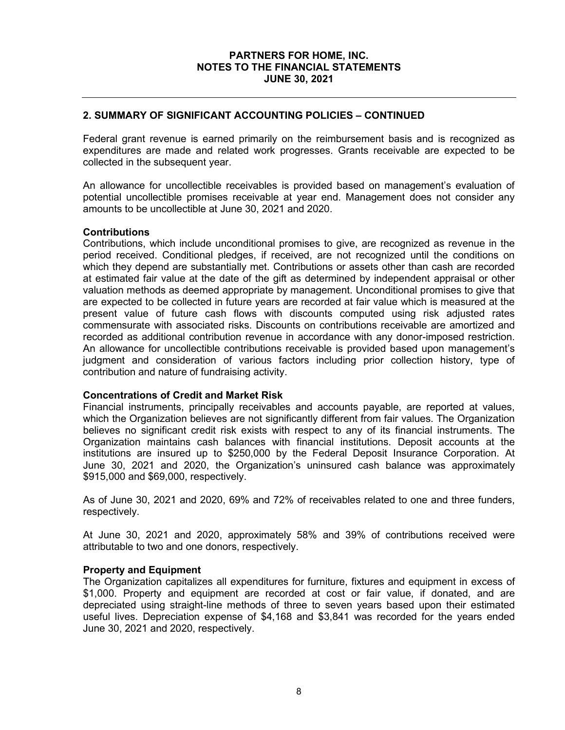## **2. SUMMARY OF SIGNIFICANT ACCOUNTING POLICIES – CONTINUED**

Federal grant revenue is earned primarily on the reimbursement basis and is recognized as expenditures are made and related work progresses. Grants receivable are expected to be collected in the subsequent year.

An allowance for uncollectible receivables is provided based on management's evaluation of potential uncollectible promises receivable at year end. Management does not consider any amounts to be uncollectible at June 30, 2021 and 2020.

#### **Contributions**

Contributions, which include unconditional promises to give, are recognized as revenue in the period received. Conditional pledges, if received, are not recognized until the conditions on which they depend are substantially met. Contributions or assets other than cash are recorded at estimated fair value at the date of the gift as determined by independent appraisal or other valuation methods as deemed appropriate by management. Unconditional promises to give that are expected to be collected in future years are recorded at fair value which is measured at the present value of future cash flows with discounts computed using risk adjusted rates commensurate with associated risks. Discounts on contributions receivable are amortized and recorded as additional contribution revenue in accordance with any donor-imposed restriction. An allowance for uncollectible contributions receivable is provided based upon management's judgment and consideration of various factors including prior collection history, type of contribution and nature of fundraising activity.

## **Concentrations of Credit and Market Risk**

Financial instruments, principally receivables and accounts payable, are reported at values, which the Organization believes are not significantly different from fair values. The Organization believes no significant credit risk exists with respect to any of its financial instruments. The Organization maintains cash balances with financial institutions. Deposit accounts at the institutions are insured up to \$250,000 by the Federal Deposit Insurance Corporation. At June 30, 2021 and 2020, the Organization's uninsured cash balance was approximately \$915,000 and \$69,000, respectively.

As of June 30, 2021 and 2020, 69% and 72% of receivables related to one and three funders, respectively.

At June 30, 2021 and 2020, approximately 58% and 39% of contributions received were attributable to two and one donors, respectively.

## **Property and Equipment**

The Organization capitalizes all expenditures for furniture, fixtures and equipment in excess of \$1,000. Property and equipment are recorded at cost or fair value, if donated, and are depreciated using straight-line methods of three to seven years based upon their estimated useful lives. Depreciation expense of \$4,168 and \$3,841 was recorded for the years ended June 30, 2021 and 2020, respectively.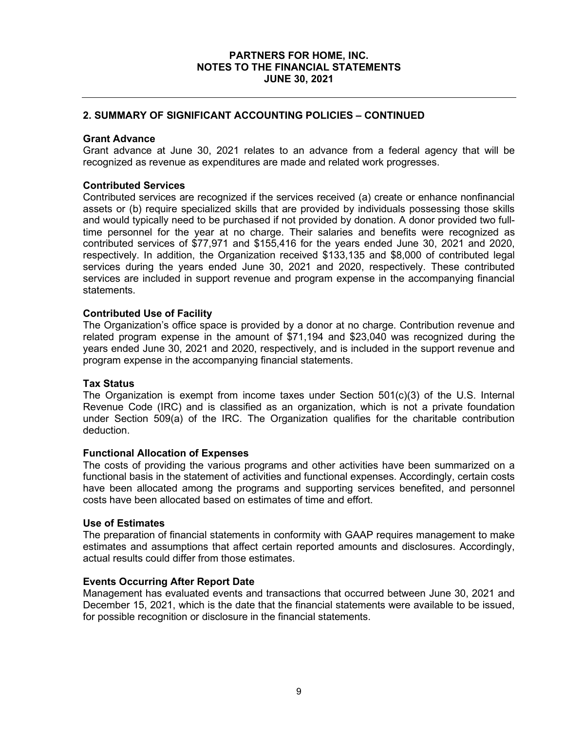# **2. SUMMARY OF SIGNIFICANT ACCOUNTING POLICIES – CONTINUED**

## **Grant Advance**

Grant advance at June 30, 2021 relates to an advance from a federal agency that will be recognized as revenue as expenditures are made and related work progresses.

## **Contributed Services**

Contributed services are recognized if the services received (a) create or enhance nonfinancial assets or (b) require specialized skills that are provided by individuals possessing those skills and would typically need to be purchased if not provided by donation. A donor provided two fulltime personnel for the year at no charge. Their salaries and benefits were recognized as contributed services of \$77,971 and \$155,416 for the years ended June 30, 2021 and 2020, respectively. In addition, the Organization received \$133,135 and \$8,000 of contributed legal services during the years ended June 30, 2021 and 2020, respectively. These contributed services are included in support revenue and program expense in the accompanying financial statements.

## **Contributed Use of Facility**

The Organization's office space is provided by a donor at no charge. Contribution revenue and related program expense in the amount of \$71,194 and \$23,040 was recognized during the years ended June 30, 2021 and 2020, respectively, and is included in the support revenue and program expense in the accompanying financial statements.

#### **Tax Status**

The Organization is exempt from income taxes under Section 501(c)(3) of the U.S. Internal Revenue Code (IRC) and is classified as an organization, which is not a private foundation under Section 509(a) of the IRC. The Organization qualifies for the charitable contribution deduction.

## **Functional Allocation of Expenses**

The costs of providing the various programs and other activities have been summarized on a functional basis in the statement of activities and functional expenses. Accordingly, certain costs have been allocated among the programs and supporting services benefited, and personnel costs have been allocated based on estimates of time and effort.

#### **Use of Estimates**

The preparation of financial statements in conformity with GAAP requires management to make estimates and assumptions that affect certain reported amounts and disclosures. Accordingly, actual results could differ from those estimates.

#### **Events Occurring After Report Date**

Management has evaluated events and transactions that occurred between June 30, 2021 and December 15, 2021, which is the date that the financial statements were available to be issued, for possible recognition or disclosure in the financial statements.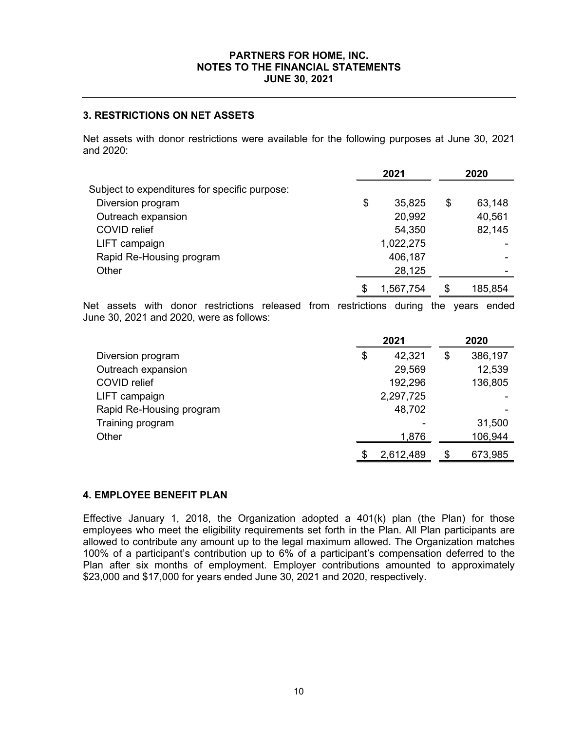# **3. RESTRICTIONS ON NET ASSETS**

Net assets with donor restrictions were available for the following purposes at June 30, 2021 and 2020:

|                                               | 2021            | 2020         |  |  |
|-----------------------------------------------|-----------------|--------------|--|--|
| Subject to expenditures for specific purpose: |                 |              |  |  |
| Diversion program                             | \$<br>35,825    | \$<br>63,148 |  |  |
| Outreach expansion                            | 20,992          | 40,561       |  |  |
| <b>COVID</b> relief                           | 54,350          | 82,145       |  |  |
| LIFT campaign                                 | 1,022,275       |              |  |  |
| Rapid Re-Housing program                      | 406,187         |              |  |  |
| Other                                         | 28,125          |              |  |  |
|                                               | \$<br>1,567,754 | 185,854      |  |  |

Net assets with donor restrictions released from restrictions during the years ended June 30, 2021 and 2020, were as follows:

|                          | 2021 |           |    | 2020    |
|--------------------------|------|-----------|----|---------|
| Diversion program        | \$   | 42,321    | \$ | 386,197 |
| Outreach expansion       |      | 29,569    |    | 12,539  |
| <b>COVID</b> relief      |      | 192,296   |    | 136,805 |
| LIFT campaign            |      | 2,297,725 |    |         |
| Rapid Re-Housing program |      | 48,702    |    |         |
| Training program         |      |           |    | 31,500  |
| Other                    |      | 1,876     |    | 106,944 |
|                          |      | 2,612,489 | S  | 673,985 |

## **4. EMPLOYEE BENEFIT PLAN**

Effective January 1, 2018, the Organization adopted a 401(k) plan (the Plan) for those employees who meet the eligibility requirements set forth in the Plan. All Plan participants are allowed to contribute any amount up to the legal maximum allowed. The Organization matches 100% of a participant's contribution up to 6% of a participant's compensation deferred to the Plan after six months of employment. Employer contributions amounted to approximately \$23,000 and \$17,000 for years ended June 30, 2021 and 2020, respectively.